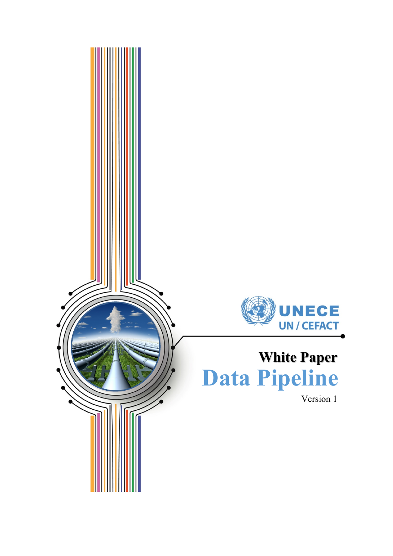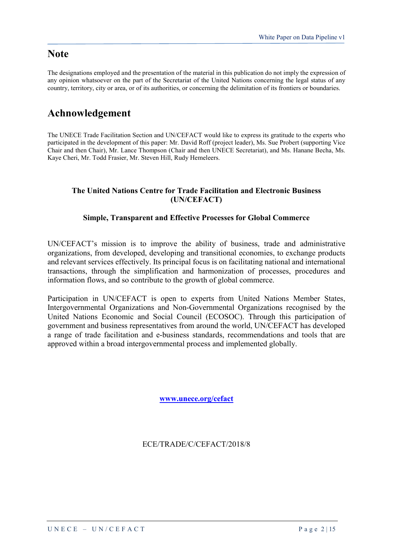### **Note**

The designations employed and the presentation of the material in this publication do not imply the expression of any opinion whatsoever on the part of the Secretariat of the United Nations concerning the legal status of any country, territory, city or area, or of its authorities, or concerning the delimitation of its frontiers or boundaries.

# **Achnowledgement**

The UNECE Trade Facilitation Section and UN/CEFACT would like to express its gratitude to the experts who participated in the development of this paper: Mr. David Roff (project leader), Ms. Sue Probert (supporting Vice Chair and then Chair), Mr. Lance Thompson (Chair and then UNECE Secretariat), and Ms. Hanane Becha, Ms. Kaye Cheri, Mr. Todd Frasier, Mr. Steven Hill, Rudy Hemeleers.

#### **The United Nations Centre for Trade Facilitation and Electronic Business (UN/CEFACT)**

#### **Simple, Transparent and Effective Processes for Global Commerce**

UN/CEFACT's mission is to improve the ability of business, trade and administrative organizations, from developed, developing and transitional economies, to exchange products and relevant services effectively. Its principal focus is on facilitating national and international transactions, through the simplification and harmonization of processes, procedures and information flows, and so contribute to the growth of global commerce.

Participation in UN/CEFACT is open to experts from United Nations Member States, Intergovernmental Organizations and Non-Governmental Organizations recognised by the United Nations Economic and Social Council (ECOSOC). Through this participation of government and business representatives from around the world, UN/CEFACT has developed a range of trade facilitation and e-business standards, recommendations and tools that are approved within a broad intergovernmental process and implemented globally.

**[www.unece.org/cefact](http://www.unece.org/cefact)**

ECE/TRADE/C/CEFACT/2018/8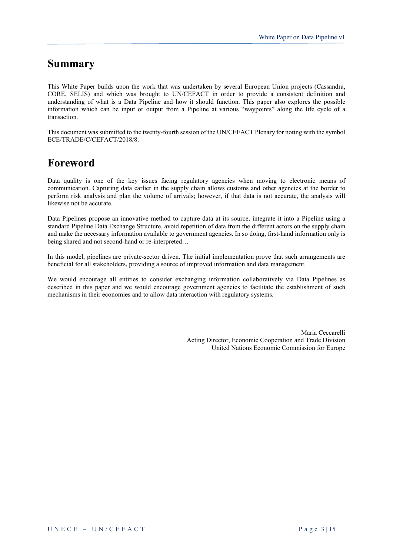### **Summary**

This White Paper builds upon the work that was undertaken by several European Union projects (Cassandra, CORE, SELIS) and which was brought to UN/CEFACT in order to provide a consistent definition and understanding of what is a Data Pipeline and how it should function. This paper also explores the possible information which can be input or output from a Pipeline at various "waypoints" along the life cycle of a transaction.

This document was submitted to the twenty-fourth session of the UN/CEFACT Plenary for noting with the symbol ECE/TRADE/C/CEFACT/2018/8.

# **Foreword**

Data quality is one of the key issues facing regulatory agencies when moving to electronic means of communication. Capturing data earlier in the supply chain allows customs and other agencies at the border to perform risk analysis and plan the volume of arrivals; however, if that data is not accurate, the analysis will likewise not be accurate.

Data Pipelines propose an innovative method to capture data at its source, integrate it into a Pipeline using a standard Pipeline Data Exchange Structure, avoid repetition of data from the different actors on the supply chain and make the necessary information available to government agencies. In so doing, first-hand information only is being shared and not second-hand or re-interpreted…

In this model, pipelines are private-sector driven. The initial implementation prove that such arrangements are beneficial for all stakeholders, providing a source of improved information and data management.

We would encourage all entities to consider exchanging information collaboratively via Data Pipelines as described in this paper and we would encourage government agencies to facilitate the establishment of such mechanisms in their economies and to allow data interaction with regulatory systems.

> Maria Ceccarelli Acting Director, Economic Cooperation and Trade Division United Nations Economic Commission for Europe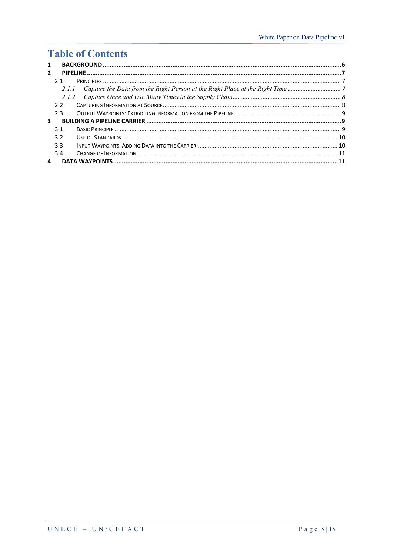# **Table of Contents**

| 1              |               |  |
|----------------|---------------|--|
| $\overline{2}$ |               |  |
|                | 21            |  |
|                | 2.1.1         |  |
|                | 2.1.2         |  |
|                | $2.2^{\circ}$ |  |
|                | 2.3           |  |
| 3              |               |  |
|                | 3.1           |  |
|                | 3.2           |  |
|                | 3.3           |  |
|                | 3.4           |  |
| 4              |               |  |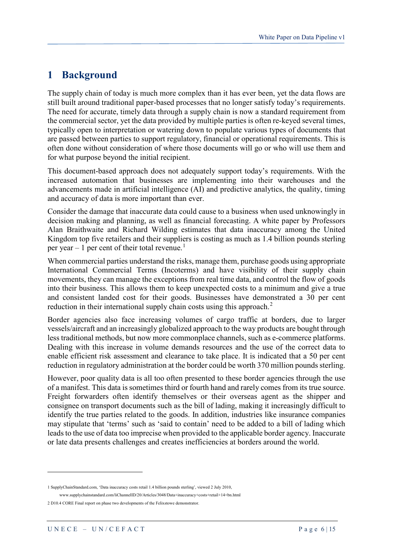### <span id="page-5-0"></span>**1 Background**

The supply chain of today is much more complex than it has ever been, yet the data flows are still built around traditional paper-based processes that no longer satisfy today's requirements. The need for accurate, timely data through a supply chain is now a standard requirement from the commercial sector, yet the data provided by multiple parties is often re-keyed several times, typically open to interpretation or watering down to populate various types of documents that are passed between parties to support regulatory, financial or operational requirements. This is often done without consideration of where those documents will go or who will use them and for what purpose beyond the initial recipient.

This document-based approach does not adequately support today's requirements. With the increased automation that businesses are implementing into their warehouses and the advancements made in artificial intelligence (AI) and predictive analytics, the quality, timing and accuracy of data is more important than ever.

Consider the damage that inaccurate data could cause to a business when used unknowingly in decision making and planning, as well as financial forecasting. A white paper by Professors Alan Braithwaite and Richard Wilding estimates that data inaccuracy among the United Kingdom top five retailers and their suppliers is costing as much as 1.4 billion pounds sterling per year  $-1$  $-1$  per cent of their total revenue.<sup>1</sup>

When commercial parties understand the risks, manage them, purchase goods using appropriate International Commercial Terms (Incoterms) and have visibility of their supply chain movements, they can manage the exceptions from real time data, and control the flow of goods into their business. This allows them to keep unexpected costs to a minimum and give a true and consistent landed cost for their goods. Businesses have demonstrated a 30 per cent reduction in their international supply chain costs using this approach.<sup>[2](#page-5-2)</sup>

Border agencies also face increasing volumes of cargo traffic at borders, due to larger vessels/aircraft and an increasingly globalized approach to the way products are bought through less traditional methods, but now more commonplace channels, such as e-commerce platforms. Dealing with this increase in volume demands resources and the use of the correct data to enable efficient risk assessment and clearance to take place. It is indicated that a 50 per cent reduction in regulatory administration at the border could be worth 370 million pounds sterling.

However, poor quality data is all too often presented to these border agencies through the use of a manifest. This data is sometimes third or fourth hand and rarely comes from its true source. Freight forwarders often identify themselves or their overseas agent as the shipper and consignee on transport documents such as the bill of lading, making it increasingly difficult to identify the true parties related to the goods. In addition, industries like insurance companies may stipulate that 'terms' such as 'said to contain' need to be added to a bill of lading which leads to the use of data too imprecise when provided to the applicable border agency. Inaccurate or late data presents challenges and creates inefficiencies at borders around the world.

<u>.</u>

<span id="page-5-2"></span><span id="page-5-1"></span><sup>1</sup> SupplyChainStandard.com, 'Data inaccuracy costs retail 1.4 billion pounds sterling', viewed 2 July 2010, www.supplychainstandard.com/liChannelID/20/Articles/3048/Data+inaccuracy+costs+retail+14+bn.html 2 D10.4 CORE Final report on phase two developments of the Felixstowe demonstrator.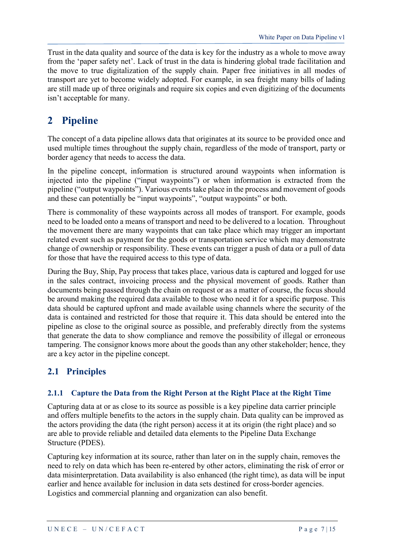Trust in the data quality and source of the data is key for the industry as a whole to move away from the 'paper safety net'. Lack of trust in the data is hindering global trade facilitation and the move to true digitalization of the supply chain. Paper free initiatives in all modes of transport are yet to become widely adopted. For example, in sea freight many bills of lading are still made up of three originals and require six copies and even digitizing of the documents isn't acceptable for many.

# <span id="page-6-0"></span>**2 Pipeline**

The concept of a data pipeline allows data that originates at its source to be provided once and used multiple times throughout the supply chain, regardless of the mode of transport, party or border agency that needs to access the data.

In the pipeline concept, information is structured around waypoints when information is injected into the pipeline ("input waypoints") or when information is extracted from the pipeline ("output waypoints"). Various events take place in the process and movement of goods and these can potentially be "input waypoints", "output waypoints" or both.

There is commonality of these waypoints across all modes of transport. For example, goods need to be loaded onto a means of transport and need to be delivered to a location. Throughout the movement there are many waypoints that can take place which may trigger an important related event such as payment for the goods or transportation service which may demonstrate change of ownership or responsibility. These events can trigger a push of data or a pull of data for those that have the required access to this type of data.

During the Buy, Ship, Pay process that takes place, various data is captured and logged for use in the sales contract, invoicing process and the physical movement of goods. Rather than documents being passed through the chain on request or as a matter of course, the focus should be around making the required data available to those who need it for a specific purpose. This data should be captured upfront and made available using channels where the security of the data is contained and restricted for those that require it. This data should be entered into the pipeline as close to the original source as possible, and preferably directly from the systems that generate the data to show compliance and remove the possibility of illegal or erroneous tampering. The consignor knows more about the goods than any other stakeholder; hence, they are a key actor in the pipeline concept.

### <span id="page-6-1"></span>**2.1 Principles**

#### <span id="page-6-2"></span>**2.1.1 Capture the Data from the Right Person at the Right Place at the Right Time**

Capturing data at or as close to its source as possible is a key pipeline data carrier principle and offers multiple benefits to the actors in the supply chain. Data quality can be improved as the actors providing the data (the right person) access it at its origin (the right place) and so are able to provide reliable and detailed data elements to the Pipeline Data Exchange Structure (PDES).

Capturing key information at its source, rather than later on in the supply chain, removes the need to rely on data which has been re-entered by other actors, eliminating the risk of error or data misinterpretation. Data availability is also enhanced (the right time), as data will be input earlier and hence available for inclusion in data sets destined for cross-border agencies. Logistics and commercial planning and organization can also benefit.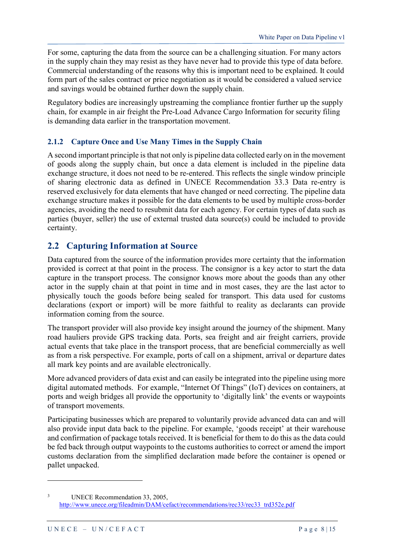For some, capturing the data from the source can be a challenging situation. For many actors in the supply chain they may resist as they have never had to provide this type of data before. Commercial understanding of the reasons why this is important need to be explained. It could form part of the sales contract or price negotiation as it would be considered a valued service and savings would be obtained further down the supply chain.

Regulatory bodies are increasingly upstreaming the compliance frontier further up the supply chain, for example in air freight the Pre-Load Advance Cargo Information for security filing is demanding data earlier in the transportation movement.

#### <span id="page-7-0"></span>**2.1.2 Capture Once and Use Many Times in the Supply Chain**

A second important principle is that not only is pipeline data collected early on in the movement of goods along the supply chain, but once a data element is included in the pipeline data exchange structure, it does not need to be re-entered. This reflects the single window principle of sharing electronic data as defined in UNECE Recommendation 33.[3](#page-7-2) Data re-entry is reserved exclusively for data elements that have changed or need correcting. The pipeline data exchange structure makes it possible for the data elements to be used by multiple cross-border agencies, avoiding the need to resubmit data for each agency. For certain types of data such as parties (buyer, seller) the use of external trusted data source(s) could be included to provide certainty.

### <span id="page-7-1"></span>**2.2 Capturing Information at Source**

Data captured from the source of the information provides more certainty that the information provided is correct at that point in the process. The consignor is a key actor to start the data capture in the transport process. The consignor knows more about the goods than any other actor in the supply chain at that point in time and in most cases, they are the last actor to physically touch the goods before being sealed for transport. This data used for customs declarations (export or import) will be more faithful to reality as declarants can provide information coming from the source.

The transport provider will also provide key insight around the journey of the shipment. Many road hauliers provide GPS tracking data. Ports, sea freight and air freight carriers, provide actual events that take place in the transport process, that are beneficial commercially as well as from a risk perspective. For example, ports of call on a shipment, arrival or departure dates all mark key points and are available electronically.

More advanced providers of data exist and can easily be integrated into the pipeline using more digital automated methods. For example, "Internet Of Things" (IoT) devices on containers, at ports and weigh bridges all provide the opportunity to 'digitally link' the events or waypoints of transport movements.

Participating businesses which are prepared to voluntarily provide advanced data can and will also provide input data back to the pipeline. For example, 'goods receipt' at their warehouse and confirmation of package totals received. It is beneficial for them to do this as the data could be fed back through output waypoints to the customs authorities to correct or amend the import customs declaration from the simplified declaration made before the container is opened or pallet unpacked.

<u>.</u>

<span id="page-7-2"></span><sup>&</sup>lt;sup>3</sup> UNECE Recommendation 33, 2005, [http://www.unece.org/fileadmin/DAM/cefact/recommendations/rec33/rec33\\_trd352e.pdf](http://www.unece.org/fileadmin/DAM/cefact/recommendations/rec33/rec33_trd352e.pdf)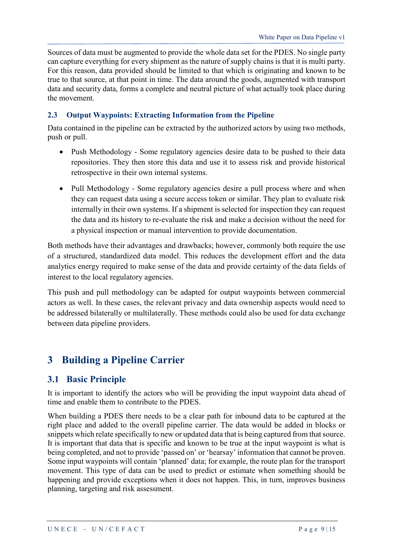Sources of data must be augmented to provide the whole data set for the PDES. No single party can capture everything for every shipment as the nature of supply chains is that it is multi party. For this reason, data provided should be limited to that which is originating and known to be true to that source, at that point in time. The data around the goods, augmented with transport data and security data, forms a complete and neutral picture of what actually took place during the movement.

#### <span id="page-8-0"></span>**2.3 Output Waypoints: Extracting Information from the Pipeline**

Data contained in the pipeline can be extracted by the authorized actors by using two methods, push or pull.

- Push Methodology Some regulatory agencies desire data to be pushed to their data repositories. They then store this data and use it to assess risk and provide historical retrospective in their own internal systems.
- Pull Methodology Some regulatory agencies desire a pull process where and when they can request data using a secure access token or similar. They plan to evaluate risk internally in their own systems. If a shipment is selected for inspection they can request the data and its history to re-evaluate the risk and make a decision without the need for a physical inspection or manual intervention to provide documentation.

Both methods have their advantages and drawbacks; however, commonly both require the use of a structured, standardized data model. This reduces the development effort and the data analytics energy required to make sense of the data and provide certainty of the data fields of interest to the local regulatory agencies.

This push and pull methodology can be adapted for output waypoints between commercial actors as well. In these cases, the relevant privacy and data ownership aspects would need to be addressed bilaterally or multilaterally. These methods could also be used for data exchange between data pipeline providers.

# <span id="page-8-1"></span>**3 Building a Pipeline Carrier**

### <span id="page-8-2"></span>**3.1 Basic Principle**

It is important to identify the actors who will be providing the input waypoint data ahead of time and enable them to contribute to the PDES.

When building a PDES there needs to be a clear path for inbound data to be captured at the right place and added to the overall pipeline carrier. The data would be added in blocks or snippets which relate specifically to new or updated data that is being captured from that source. It is important that data that is specific and known to be true at the input waypoint is what is being completed, and not to provide 'passed on' or 'hearsay' information that cannot be proven. Some input waypoints will contain 'planned' data; for example, the route plan for the transport movement. This type of data can be used to predict or estimate when something should be happening and provide exceptions when it does not happen. This, in turn, improves business planning, targeting and risk assessment.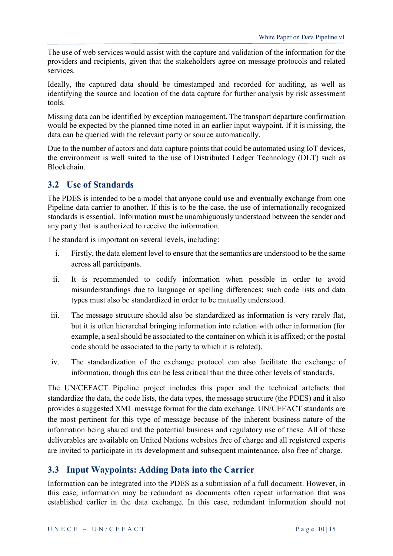The use of web services would assist with the capture and validation of the information for the providers and recipients, given that the stakeholders agree on message protocols and related services.

Ideally, the captured data should be timestamped and recorded for auditing, as well as identifying the source and location of the data capture for further analysis by risk assessment tools.

Missing data can be identified by exception management. The transport departure confirmation would be expected by the planned time noted in an earlier input waypoint. If it is missing, the data can be queried with the relevant party or source automatically.

Due to the number of actors and data capture points that could be automated using IoT devices, the environment is well suited to the use of Distributed Ledger Technology (DLT) such as Blockchain.

#### <span id="page-9-0"></span>**3.2 Use of Standards**

The PDES is intended to be a model that anyone could use and eventually exchange from one Pipeline data carrier to another. If this is to be the case, the use of internationally recognized standards is essential. Information must be unambiguously understood between the sender and any party that is authorized to receive the information.

The standard is important on several levels, including:

- i. Firstly, the data element level to ensure that the semantics are understood to be the same across all participants.
- ii. It is recommended to codify information when possible in order to avoid misunderstandings due to language or spelling differences; such code lists and data types must also be standardized in order to be mutually understood.
- iii. The message structure should also be standardized as information is very rarely flat, but it is often hierarchal bringing information into relation with other information (for example, a seal should be associated to the container on which it is affixed; or the postal code should be associated to the party to which it is related).
- iv. The standardization of the exchange protocol can also facilitate the exchange of information, though this can be less critical than the three other levels of standards.

The UN/CEFACT Pipeline project includes this paper and the technical artefacts that standardize the data, the code lists, the data types, the message structure (the PDES) and it also provides a suggested XML message format for the data exchange. UN/CEFACT standards are the most pertinent for this type of message because of the inherent business nature of the information being shared and the potential business and regulatory use of these. All of these deliverables are available on United Nations websites free of charge and all registered experts are invited to participate in its development and subsequent maintenance, also free of charge.

### <span id="page-9-1"></span>**3.3 Input Waypoints: Adding Data into the Carrier**

Information can be integrated into the PDES as a submission of a full document. However, in this case, information may be redundant as documents often repeat information that was established earlier in the data exchange. In this case, redundant information should not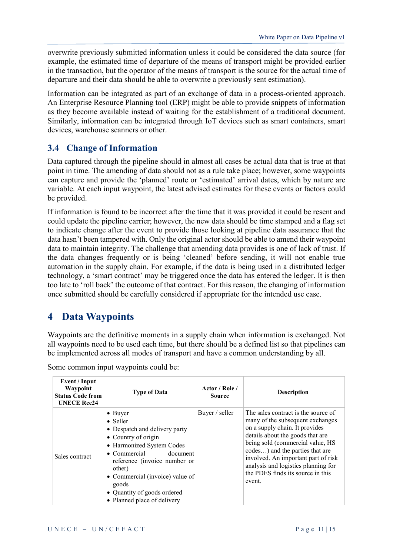overwrite previously submitted information unless it could be considered the data source (for example, the estimated time of departure of the means of transport might be provided earlier in the transaction, but the operator of the means of transport is the source for the actual time of departure and their data should be able to overwrite a previously sent estimation).

Information can be integrated as part of an exchange of data in a process-oriented approach. An Enterprise Resource Planning tool (ERP) might be able to provide snippets of information as they become available instead of waiting for the establishment of a traditional document. Similarly, information can be integrated through IoT devices such as smart containers, smart devices, warehouse scanners or other.

### <span id="page-10-0"></span>**3.4 Change of Information**

Data captured through the pipeline should in almost all cases be actual data that is true at that point in time. The amending of data should not as a rule take place; however, some waypoints can capture and provide the 'planned' route or 'estimated' arrival dates, which by nature are variable. At each input waypoint, the latest advised estimates for these events or factors could be provided.

If information is found to be incorrect after the time that it was provided it could be resent and could update the pipeline carrier; however, the new data should be time stamped and a flag set to indicate change after the event to provide those looking at pipeline data assurance that the data hasn't been tampered with. Only the original actor should be able to amend their waypoint data to maintain integrity. The challenge that amending data provides is one of lack of trust. If the data changes frequently or is being 'cleaned' before sending, it will not enable true automation in the supply chain. For example, if the data is being used in a distributed ledger technology, a 'smart contract' may be triggered once the data has entered the ledger. It is then too late to 'roll back' the outcome of that contract. For this reason, the changing of information once submitted should be carefully considered if appropriate for the intended use case.

# <span id="page-10-1"></span>**4 Data Waypoints**

Waypoints are the definitive moments in a supply chain when information is exchanged. Not all waypoints need to be used each time, but there should be a defined list so that pipelines can be implemented across all modes of transport and have a common understanding by all.

| Event / Input<br>Waypoint<br><b>Status Code from</b><br><b>UNECE Rec24</b> | <b>Type of Data</b>                                                                                                                                                                                                                                                                                              | Actor / Role /<br><b>Source</b> | <b>Description</b>                                                                                                                                                                                                                                                                                                                                |
|----------------------------------------------------------------------------|------------------------------------------------------------------------------------------------------------------------------------------------------------------------------------------------------------------------------------------------------------------------------------------------------------------|---------------------------------|---------------------------------------------------------------------------------------------------------------------------------------------------------------------------------------------------------------------------------------------------------------------------------------------------------------------------------------------------|
| Sales contract                                                             | $\bullet$ Buyer<br>$\bullet$ Seller<br>• Despatch and delivery party<br>• Country of origin<br>• Harmonized System Codes<br>$\bullet$ Commercial<br>document<br>reference (invoice number or<br>other)<br>• Commercial (invoice) value of<br>goods<br>• Quantity of goods ordered<br>• Planned place of delivery | Buyer / seller                  | The sales contract is the source of<br>many of the subsequent exchanges<br>on a supply chain. It provides<br>details about the goods that are<br>being sold (commercial value, HS<br>codes) and the parties that are<br>involved. An important part of risk<br>analysis and logistics planning for<br>the PDES finds its source in this<br>event. |

Some common input waypoints could be: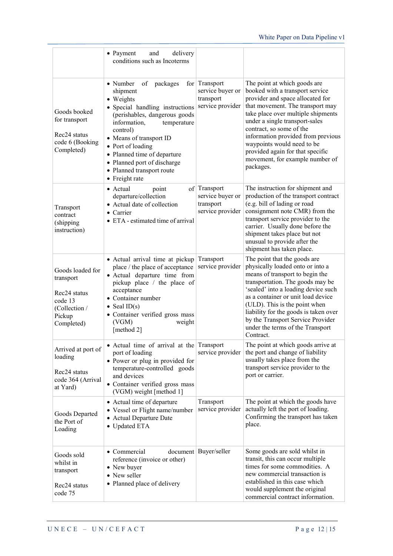|                                                                                                               | • Payment<br>delivery<br>and<br>conditions such as Incoterms                                                                                                                                                                                                                                                                    |                                                                        |                                                                                                                                                                                                                                                                                                                                                                                                     |
|---------------------------------------------------------------------------------------------------------------|---------------------------------------------------------------------------------------------------------------------------------------------------------------------------------------------------------------------------------------------------------------------------------------------------------------------------------|------------------------------------------------------------------------|-----------------------------------------------------------------------------------------------------------------------------------------------------------------------------------------------------------------------------------------------------------------------------------------------------------------------------------------------------------------------------------------------------|
| Goods booked<br>for transport<br>Rec <sub>24</sub> status<br>code 6 (Booking<br>Completed)                    | • Number<br>of<br>packages<br>shipment<br>• Weights<br>· Special handling instructions<br>(perishables, dangerous goods<br>information,<br>temperature<br>control)<br>• Means of transport ID<br>• Port of loading<br>• Planned time of departure<br>• Planned port of discharge<br>• Planned transport route<br>• Freight rate | for $ $ Transport<br>service buyer or<br>transport<br>service provider | The point at which goods are<br>booked with a transport service<br>provider and space allocated for<br>that movement. The transport may<br>take place over multiple shipments<br>under a single transport-sales<br>contract, so some of the<br>information provided from previous<br>waypoints would need to be<br>provided again for that specific<br>movement, for example number of<br>packages. |
| Transport<br>contract<br>(shipping)<br>instruction)                                                           | • Actual<br>point<br>departure/collection<br>• Actual date of collection<br>$\bullet$ Carrier<br>$\bullet$ ETA - estimated time of arrival                                                                                                                                                                                      | of   Transport<br>service buyer or<br>transport<br>service provider    | The instruction for shipment and<br>production of the transport contract<br>(e.g. bill of lading or road<br>consignment note CMR) from the<br>transport service provider to the<br>carrier. Usually done before the<br>shipment takes place but not<br>unusual to provide after the<br>shipment has taken place.                                                                                    |
| Goods loaded for<br>transport<br>Rec <sub>24</sub> status<br>code 13<br>(Collection /<br>Pickup<br>Completed) | • Actual arrival time at pickup<br>place / the place of acceptance<br>· Actual departure time from<br>pickup place / the place of<br>acceptance<br>• Container number<br>• Seal $ID(s)$<br>• Container verified gross mass<br>(VGM)<br>weight<br>[method 2]                                                                     | Transport<br>service provider                                          | The point that the goods are<br>physically loaded onto or into a<br>means of transport to begin the<br>transportation. The goods may be<br>'sealed' into a loading device such<br>as a container or unit load device<br>(ULD). This is the point when<br>liability for the goods is taken over<br>by the Transport Service Provider<br>under the terms of the Transport<br>Contract.                |
| Arrived at port of<br>loading<br>Rec <sub>24</sub> status<br>code 364 (Arrival<br>at Yard)                    | • Actual time of arrival at the Transport<br>port of loading<br>• Power or plug in provided for<br>temperature-controlled goods<br>and devices<br>• Container verified gross mass<br>(VGM) weight [method 1]                                                                                                                    | service provider                                                       | The point at which goods arrive at<br>the port and change of liability<br>usually takes place from the<br>transport service provider to the<br>port or carrier.                                                                                                                                                                                                                                     |
| Goods Departed<br>the Port of<br>Loading                                                                      | • Actual time of departure<br>• Vessel or Flight name/number<br>• Actual Departure Date<br>• Updated ETA                                                                                                                                                                                                                        | Transport<br>service provider                                          | The point at which the goods have<br>actually left the port of loading.<br>Confirming the transport has taken<br>place.                                                                                                                                                                                                                                                                             |
| Goods sold<br>whilst in<br>transport<br>Rec <sub>24</sub> status<br>code 75                                   | • Commercial<br>reference (invoice or other)<br>• New buyer<br>• New seller<br>• Planned place of delivery                                                                                                                                                                                                                      | document   Buyer/seller                                                | Some goods are sold whilst in<br>transit, this can occur multiple<br>times for some commodities. A<br>new commercial transaction is<br>established in this case which<br>would supplement the original<br>commercial contract information.                                                                                                                                                          |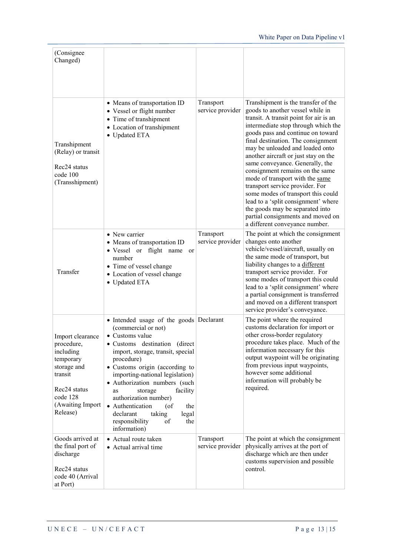| (Consignee)<br>Changed)                                                                                                                                    |                                                                                                                                                                                                                                                                                                                                                                                                                                                       |                               |                                                                                                                                                                                                                                                                                                                                                                                                                                                                                                                                                                                                                                                   |
|------------------------------------------------------------------------------------------------------------------------------------------------------------|-------------------------------------------------------------------------------------------------------------------------------------------------------------------------------------------------------------------------------------------------------------------------------------------------------------------------------------------------------------------------------------------------------------------------------------------------------|-------------------------------|---------------------------------------------------------------------------------------------------------------------------------------------------------------------------------------------------------------------------------------------------------------------------------------------------------------------------------------------------------------------------------------------------------------------------------------------------------------------------------------------------------------------------------------------------------------------------------------------------------------------------------------------------|
| Transhipment<br>(Relay) or transit<br>Rec <sub>24</sub> status<br>code 100<br>(Transshipment)                                                              | • Means of transportation ID<br>• Vessel or flight number<br>• Time of transhipment<br>• Location of transhipment<br>• Updated ETA                                                                                                                                                                                                                                                                                                                    | Transport<br>service provider | Transhipment is the transfer of the<br>goods to another vessel while in<br>transit. A transit point for air is an<br>intermediate stop through which the<br>goods pass and continue on toward<br>final destination. The consignment<br>may be unloaded and loaded onto<br>another aircraft or just stay on the<br>same conveyance. Generally, the<br>consignment remains on the same<br>mode of transport with the same<br>transport service provider. For<br>some modes of transport this could<br>lead to a 'split consignment' where<br>the goods may be separated into<br>partial consignments and moved on<br>a different conveyance number. |
| Transfer                                                                                                                                                   | • New carrier<br>• Means of transportation ID<br>· Vessel or flight name<br>or<br>number<br>• Time of vessel change<br>• Location of vessel change<br>• Updated ETA                                                                                                                                                                                                                                                                                   | Transport<br>service provider | The point at which the consignment<br>changes onto another<br>vehicle/vessel/aircraft, usually on<br>the same mode of transport, but<br>liability changes to a different<br>transport service provider. For<br>some modes of transport this could<br>lead to a 'split consignment' where<br>a partial consignment is transferred<br>and moved on a different transport<br>service provider's conveyance.                                                                                                                                                                                                                                          |
| Import clearance<br>procedure,<br>including<br>temporary<br>storage and<br>transit<br>Rec <sub>24</sub> status<br>code 128<br>(Awaiting Import<br>Release) | • Intended usage of the goods Declarant<br>(commercial or not)<br>• Customs value<br>· Customs destination (direct<br>import, storage, transit, special<br>procedure)<br>• Customs origin (according to<br>importing-national legislation)<br>· Authorization numbers (such<br>storage<br>facility<br>as<br>authorization number)<br>• Authentication<br>$($ of<br>the<br>taking<br>declarant<br>legal<br>responsibility<br>of<br>the<br>information) |                               | The point where the required<br>customs declaration for import or<br>other cross-border regulatory<br>procedure takes place. Much of the<br>information necessary for this<br>output waypoint will be originating<br>from previous input waypoints,<br>however some additional<br>information will probably be<br>required.                                                                                                                                                                                                                                                                                                                       |
| Goods arrived at<br>the final port of<br>discharge<br>Rec <sub>24</sub> status<br>code 40 (Arrival<br>at Port)                                             | • Actual route taken<br>• Actual arrival time                                                                                                                                                                                                                                                                                                                                                                                                         | Transport<br>service provider | The point at which the consignment<br>physically arrives at the port of<br>discharge which are then under<br>customs supervision and possible<br>control.                                                                                                                                                                                                                                                                                                                                                                                                                                                                                         |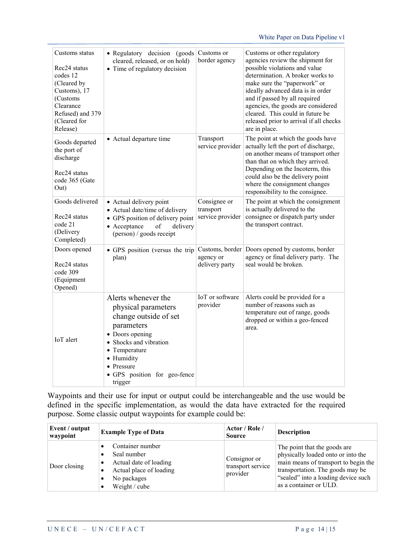| Customs status<br>Rec <sub>24</sub> status<br>codes 12<br>(Cleared by<br>Customs), 17<br>(Customs)<br>Clearance<br>Refused) and 379<br>(Cleared for<br>Release) | · Regulatory decision (goods)<br>cleared, released, or on hold)<br>• Time of regulatory decision                                                                                                                       | Customs or<br>border agency                    | Customs or other regulatory<br>agencies review the shipment for<br>possible violations and value<br>determination. A broker works to<br>make sure the "paperwork" or<br>ideally advanced data is in order<br>and if passed by all required<br>agencies, the goods are considered<br>cleared. This could in future be<br>released prior to arrival if all checks<br>are in place. |
|-----------------------------------------------------------------------------------------------------------------------------------------------------------------|------------------------------------------------------------------------------------------------------------------------------------------------------------------------------------------------------------------------|------------------------------------------------|----------------------------------------------------------------------------------------------------------------------------------------------------------------------------------------------------------------------------------------------------------------------------------------------------------------------------------------------------------------------------------|
| Goods departed<br>the port of<br>discharge<br>Rec <sub>24</sub> status<br>code 365 (Gate<br>Out)                                                                | • Actual departure time                                                                                                                                                                                                | Transport<br>service provider                  | The point at which the goods have<br>actually left the port of discharge,<br>on another means of transport other<br>than that on which they arrived.<br>Depending on the Incoterm, this<br>could also be the delivery point<br>where the consignment changes<br>responsibility to the consignee.                                                                                 |
| Goods delivered<br>Rec24 status<br>code 21<br>(Delivery<br>Completed)                                                                                           | • Actual delivery point<br>• Actual date/time of delivery<br>• GPS position of delivery point<br>• Acceptance<br>of<br>delivery<br>(person) / goods receipt                                                            | Consignee or<br>transport<br>service provider  | The point at which the consignment<br>is actually delivered to the<br>consignee or dispatch party under<br>the transport contract.                                                                                                                                                                                                                                               |
| Doors opened<br>Rec <sub>24</sub> status<br>code 309<br>(Equipment<br>Opened)                                                                                   | • GPS position (versus the trip<br>plan)                                                                                                                                                                               | Customs, border<br>agency or<br>delivery party | Doors opened by customs, border<br>agency or final delivery party. The<br>seal would be broken.                                                                                                                                                                                                                                                                                  |
| IoT alert                                                                                                                                                       | Alerts whenever the<br>physical parameters<br>change outside of set<br>parameters<br>• Doors opening<br>• Shocks and vibration<br>• Temperature<br>· Humidity<br>• Pressure<br>· GPS position for geo-fence<br>trigger | IoT or software<br>provider                    | Alerts could be provided for a<br>number of reasons such as<br>temperature out of range, goods<br>dropped or within a geo-fenced<br>area.                                                                                                                                                                                                                                        |

Waypoints and their use for input or output could be interchangeable and the use would be defined in the specific implementation, as would the data have extracted for the required purpose. Some classic output waypoints for example could be:

| Event / output<br>waypoint | <b>Example Type of Data</b>                                                                                               | Actor / Role /<br><b>Source</b>               | <b>Description</b>                                                                                                                                                                                              |
|----------------------------|---------------------------------------------------------------------------------------------------------------------------|-----------------------------------------------|-----------------------------------------------------------------------------------------------------------------------------------------------------------------------------------------------------------------|
| Door closing               | Container number<br>Seal number<br>Actual date of loading<br>Actual place of loading<br>No packages<br>Weight / cube<br>٠ | Consignor or<br>transport service<br>provider | The point that the goods are<br>physically loaded onto or into the<br>main means of transport to begin the<br>transportation. The goods may be<br>"sealed" into a loading device such<br>as a container or ULD. |